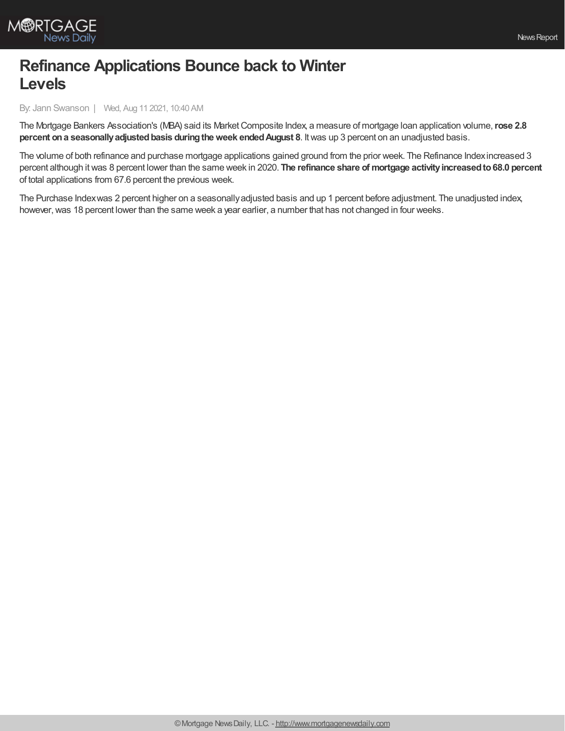

## **Refinance Applications Bounce back to Winter Levels**

By: Jann Swanson | Wed, Aug 11 2021, 10:40 AM

The Mortgage Bankers Association's (MBA) said its MarketComposite Index, a measure of mortgage loan application volume,**rose 2.8 percent ona seasonallyadjustedbasis duringtheweek endedAugust 8**. Itwas up 3 percent on an unadjusted basis.

The volume of both refinance and purchase mortgage applications gained ground from the prior week. The Refinance Indexincreased 3 percent although itwas 8 percent lower than the same week in 2020. **The refinance share of mortgage activityincreasedto68.0 percent** of total applications from 67.6 percent the previous week.

The Purchase Indexwas 2 percent higher on a seasonallyadjusted basis and up 1 percent before adjustment. The unadjusted index, however, was 18 percent lower than the same week a year earlier, a number that has not changed in four weeks.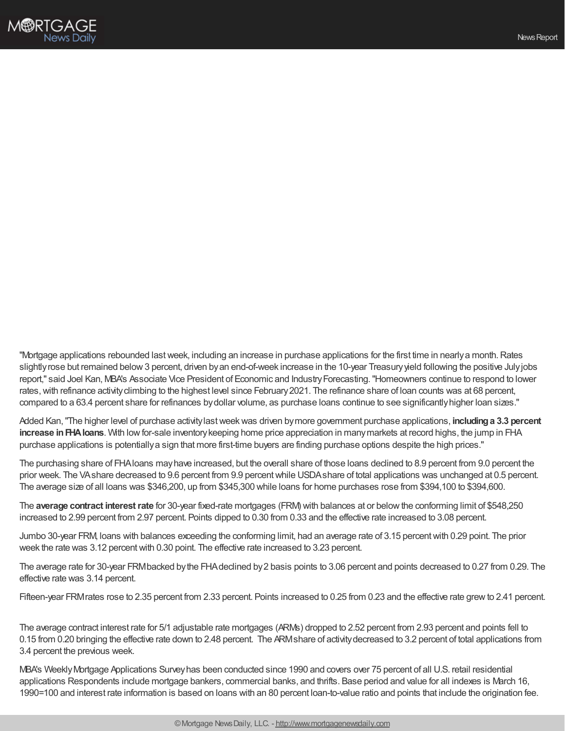

"Mortgage applications rebounded last week, including an increase in purchase applications for the first time in nearly a month. Rates slightly rose but remained below 3 percent, driven by an end-of-week increase in the 10-year Treasury yield following the positive July jobs report," said Joel Kan, MBA's Associate Vice President of Economic and IndustryForecasting."Homeowners continue to respond to lower rates, with refinance activity climbing to the highest level since February 2021. The refinance share of loan counts was at 68 percent, compared to a 63.4 percent share for refinances bydollar volume, as purchase loans continue to see significantlyhigher loan sizes."

Added Kan,"The higher level of purchase activitylastweekwas driven bymore government purchase applications, **includinga 3.3 percent increase in FHA loans**. With low for-sale inventory keeping home price appreciation in many markets at record highs, the jump in FHA purchase applications is potentiallya sign that more first-time buyers are finding purchase options despite the high prices."

The purchasing share of FHAloans mayhave increased, but the overall share of those loans declined to 8.9 percent from 9.0 percent the prior week. The VAshare decreased to 9.6 percent from 9.9 percent while USDAshare of total applications was unchanged at 0.5 percent. The average size of all loans was \$346,200, up from \$345,300 while loans for home purchases rose from \$394,100 to \$394,600.

The **average contract interestrate** for 30-year fixed-rate mortgages (FRM) with balances at or belowthe conforming limit of \$548,250 increased to 2.99 percent from 2.97 percent. Points dipped to 0.30 from 0.33 and the effective rate increased to 3.08 percent.

Jumbo 30-year FRM, loans with balances exceeding the conforming limit, had an average rate of 3.15 percentwith 0.29 point. The prior week the rate was 3.12 percent with 0.30 point. The effective rate increased to 3.23 percent.

The average rate for 30-year FRMbacked bythe FHAdeclined by2 basis points to 3.06 percent and points decreased to 0.27 from 0.29. The effective rate was 3.14 percent.

Fifteen-year FRMrates rose to 2.35 percent from 2.33 percent. Points increased to 0.25 from 0.23 and the effective rate grewto 2.41 percent.

The average contract interest rate for 5/1 adjustable rate mortgages (ARMs) dropped to 2.52 percent from 2.93 percent and points fell to 0.15 from 0.20 bringing the effective rate down to 2.48 percent. The ARMshare of activitydecreased to 3.2 percent of total applications from 3.4 percent the previous week.

MBA's WeeklyMortgage Applications Surveyhas been conducted since 1990 and covers over 75 percent of all U.S. retail residential applications Respondents include mortgage bankers, commercial banks, and thrifts. Base period and value for all indexes is March 16, 1990=100 and interest rate information is based on loans with an 80 percent loan-to-value ratio and points that include the origination fee.